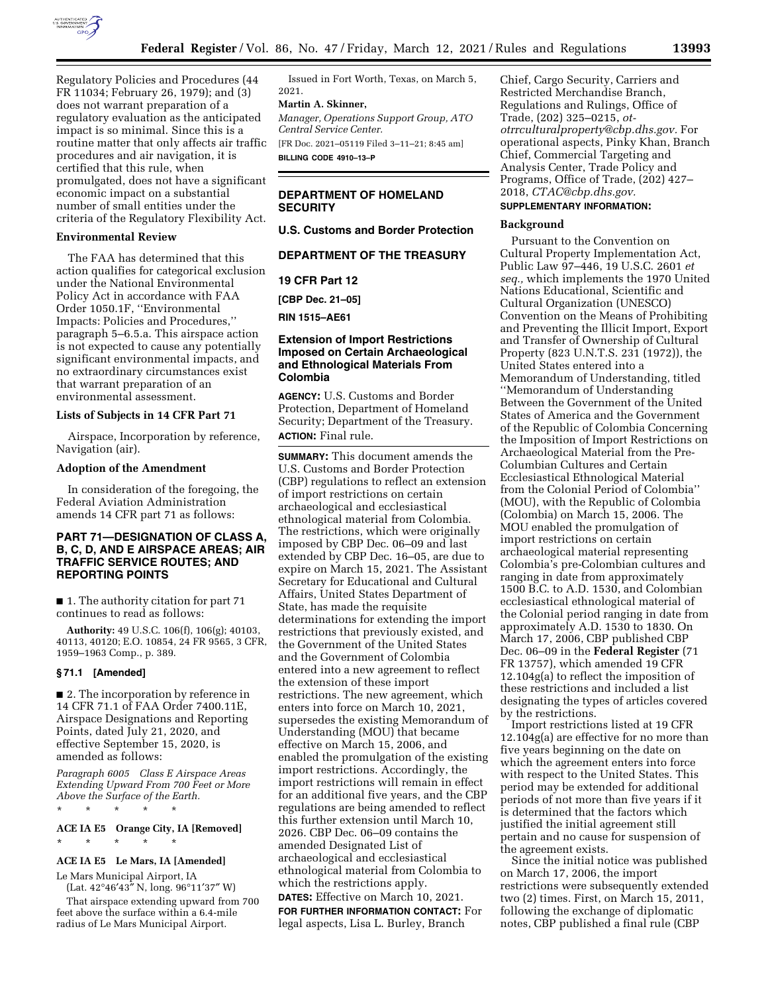

Regulatory Policies and Procedures (44 FR 11034; February 26, 1979); and (3) does not warrant preparation of a regulatory evaluation as the anticipated impact is so minimal. Since this is a routine matter that only affects air traffic procedures and air navigation, it is certified that this rule, when promulgated, does not have a significant economic impact on a substantial number of small entities under the criteria of the Regulatory Flexibility Act.

#### **Environmental Review**

The FAA has determined that this action qualifies for categorical exclusion under the National Environmental Policy Act in accordance with FAA Order 1050.1F, ''Environmental Impacts: Policies and Procedures,'' paragraph 5–6.5.a. This airspace action is not expected to cause any potentially significant environmental impacts, and no extraordinary circumstances exist that warrant preparation of an environmental assessment.

### **Lists of Subjects in 14 CFR Part 71**

Airspace, Incorporation by reference, Navigation (air).

#### **Adoption of the Amendment**

In consideration of the foregoing, the Federal Aviation Administration amends 14 CFR part 71 as follows:

# **PART 71—DESIGNATION OF CLASS A, B, C, D, AND E AIRSPACE AREAS; AIR TRAFFIC SERVICE ROUTES; AND REPORTING POINTS**

■ 1. The authority citation for part 71 continues to read as follows:

**Authority:** 49 U.S.C. 106(f), 106(g); 40103, 40113, 40120; E.O. 10854, 24 FR 9565, 3 CFR, 1959–1963 Comp., p. 389.

#### **§ 71.1 [Amended]**

■ 2. The incorporation by reference in 14 CFR 71.1 of FAA Order 7400.11E, Airspace Designations and Reporting Points, dated July 21, 2020, and effective September 15, 2020, is amended as follows:

*Paragraph 6005 Class E Airspace Areas Extending Upward From 700 Feet or More Above the Surface of the Earth.* 

\* \* \* \* \* **ACE IA E5 Orange City, IA [Removed]** 

# \* \* \* \* \*

# **ACE IA E5 Le Mars, IA [Amended]**

Le Mars Municipal Airport, IA (Lat. 42°46′43″ N, long. 96°11′37″ W)

That airspace extending upward from 700 feet above the surface within a 6.4-mile radius of Le Mars Municipal Airport.

Issued in Fort Worth, Texas, on March 5, 2021.

# **Martin A. Skinner,**

*Manager, Operations Support Group, ATO Central Service Center.* 

[FR Doc. 2021–05119 Filed 3–11–21; 8:45 am] **BILLING CODE 4910–13–P** 

# **DEPARTMENT OF HOMELAND SECURITY**

**U.S. Customs and Border Protection** 

# **DEPARTMENT OF THE TREASURY**

**19 CFR Part 12** 

**[CBP Dec. 21–05]** 

**RIN 1515–AE61** 

### **Extension of Import Restrictions Imposed on Certain Archaeological and Ethnological Materials From Colombia**

**AGENCY:** U.S. Customs and Border Protection, Department of Homeland Security; Department of the Treasury. **ACTION:** Final rule.

**SUMMARY:** This document amends the U.S. Customs and Border Protection (CBP) regulations to reflect an extension of import restrictions on certain archaeological and ecclesiastical ethnological material from Colombia. The restrictions, which were originally imposed by CBP Dec. 06–09 and last extended by CBP Dec. 16–05, are due to expire on March 15, 2021. The Assistant Secretary for Educational and Cultural Affairs, United States Department of State, has made the requisite determinations for extending the import restrictions that previously existed, and the Government of the United States and the Government of Colombia entered into a new agreement to reflect the extension of these import restrictions. The new agreement, which enters into force on March 10, 2021, supersedes the existing Memorandum of Understanding (MOU) that became effective on March 15, 2006, and enabled the promulgation of the existing import restrictions. Accordingly, the import restrictions will remain in effect for an additional five years, and the CBP regulations are being amended to reflect this further extension until March 10, 2026. CBP Dec. 06–09 contains the amended Designated List of archaeological and ecclesiastical ethnological material from Colombia to which the restrictions apply.

# **DATES:** Effective on March 10, 2021.

**FOR FURTHER INFORMATION CONTACT:** For legal aspects, Lisa L. Burley, Branch

Chief, Cargo Security, Carriers and Restricted Merchandise Branch, Regulations and Rulings, Office of Trade, (202) 325–0215, *[ot](mailto:ot-otrrculturalproperty@cbp.dhs.gov)[otrrculturalproperty@cbp.dhs.gov.](mailto:ot-otrrculturalproperty@cbp.dhs.gov)* For operational aspects, Pinky Khan, Branch Chief, Commercial Targeting and Analysis Center, Trade Policy and Programs, Office of Trade, (202) 427– 2018, *[CTAC@cbp.dhs.gov.](mailto:CTAC@cbp.dhs.gov)* 

# **SUPPLEMENTARY INFORMATION:**

### **Background**

Pursuant to the Convention on Cultural Property Implementation Act, Public Law 97–446, 19 U.S.C. 2601 *et seq.,* which implements the 1970 United Nations Educational, Scientific and Cultural Organization (UNESCO) Convention on the Means of Prohibiting and Preventing the Illicit Import, Export and Transfer of Ownership of Cultural Property (823 U.N.T.S. 231 (1972)), the United States entered into a Memorandum of Understanding, titled ''Memorandum of Understanding Between the Government of the United States of America and the Government of the Republic of Colombia Concerning the Imposition of Import Restrictions on Archaeological Material from the Pre-Columbian Cultures and Certain Ecclesiastical Ethnological Material from the Colonial Period of Colombia'' (MOU), with the Republic of Colombia (Colombia) on March 15, 2006. The MOU enabled the promulgation of import restrictions on certain archaeological material representing Colombia's pre-Colombian cultures and ranging in date from approximately 1500 B.C. to A.D. 1530, and Colombian ecclesiastical ethnological material of the Colonial period ranging in date from approximately A.D. 1530 to 1830. On March 17, 2006, CBP published CBP Dec. 06–09 in the **Federal Register** (71 FR 13757), which amended 19 CFR 12.104g(a) to reflect the imposition of these restrictions and included a list designating the types of articles covered by the restrictions.

Import restrictions listed at 19 CFR 12.104g(a) are effective for no more than five years beginning on the date on which the agreement enters into force with respect to the United States. This period may be extended for additional periods of not more than five years if it is determined that the factors which justified the initial agreement still pertain and no cause for suspension of the agreement exists.

Since the initial notice was published on March 17, 2006, the import restrictions were subsequently extended two (2) times. First, on March 15, 2011, following the exchange of diplomatic notes, CBP published a final rule (CBP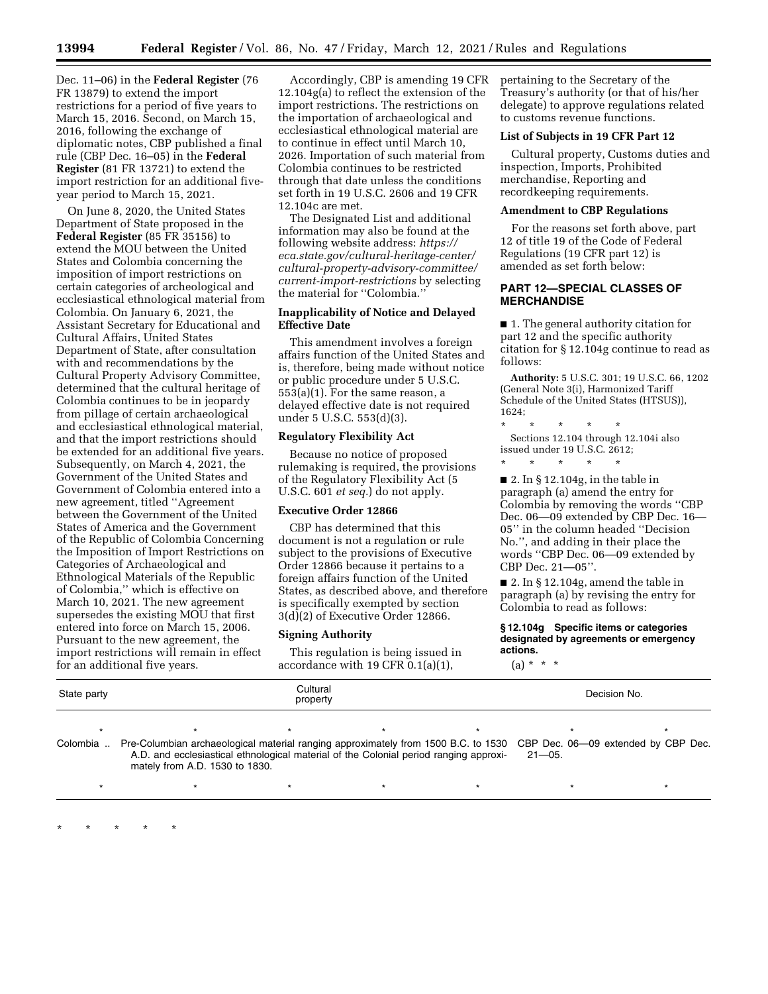Dec. 11–06) in the **Federal Register** (76 FR 13879) to extend the import restrictions for a period of five years to March 15, 2016. Second, on March 15, 2016, following the exchange of diplomatic notes, CBP published a final rule (CBP Dec. 16–05) in the **Federal Register** (81 FR 13721) to extend the import restriction for an additional fiveyear period to March 15, 2021.

On June 8, 2020, the United States Department of State proposed in the **Federal Register** (85 FR 35156) to extend the MOU between the United States and Colombia concerning the imposition of import restrictions on certain categories of archeological and ecclesiastical ethnological material from Colombia. On January 6, 2021, the Assistant Secretary for Educational and Cultural Affairs, United States Department of State, after consultation with and recommendations by the Cultural Property Advisory Committee, determined that the cultural heritage of Colombia continues to be in jeopardy from pillage of certain archaeological and ecclesiastical ethnological material, and that the import restrictions should be extended for an additional five years. Subsequently, on March 4, 2021, the Government of the United States and Government of Colombia entered into a new agreement, titled ''Agreement between the Government of the United States of America and the Government of the Republic of Colombia Concerning the Imposition of Import Restrictions on Categories of Archaeological and Ethnological Materials of the Republic of Colombia,'' which is effective on March 10, 2021. The new agreement supersedes the existing MOU that first entered into force on March 15, 2006. Pursuant to the new agreement, the import restrictions will remain in effect for an additional five years.

\* \* \* \* \*

Accordingly, CBP is amending 19 CFR 12.104g(a) to reflect the extension of the import restrictions. The restrictions on the importation of archaeological and ecclesiastical ethnological material are to continue in effect until March 10, 2026. Importation of such material from Colombia continues to be restricted through that date unless the conditions set forth in 19 U.S.C. 2606 and 19 CFR 12.104c are met.

The Designated List and additional information may also be found at the following website address: *[https://](https://eca.state.gov/cultural-heritage-center/cultural-property-advisory-committee/current-import-restrictions) [eca.state.gov/cultural-heritage-center/](https://eca.state.gov/cultural-heritage-center/cultural-property-advisory-committee/current-import-restrictions) [cultural-property-advisory-committee/](https://eca.state.gov/cultural-heritage-center/cultural-property-advisory-committee/current-import-restrictions)  [current-import-restrictions](https://eca.state.gov/cultural-heritage-center/cultural-property-advisory-committee/current-import-restrictions)* by selecting the material for ''Colombia.''

### **Inapplicability of Notice and Delayed Effective Date**

This amendment involves a foreign affairs function of the United States and is, therefore, being made without notice or public procedure under 5 U.S.C. 553(a)(1). For the same reason, a delayed effective date is not required under 5 U.S.C. 553(d)(3).

### **Regulatory Flexibility Act**

Because no notice of proposed rulemaking is required, the provisions of the Regulatory Flexibility Act (5 U.S.C. 601 *et seq.*) do not apply.

# **Executive Order 12866**

CBP has determined that this document is not a regulation or rule subject to the provisions of Executive Order 12866 because it pertains to a foreign affairs function of the United States, as described above, and therefore is specifically exempted by section 3(d)(2) of Executive Order 12866.

#### **Signing Authority**

This regulation is being issued in accordance with 19 CFR 0.1(a)(1),

pertaining to the Secretary of the Treasury's authority (or that of his/her delegate) to approve regulations related to customs revenue functions.

# **List of Subjects in 19 CFR Part 12**

Cultural property, Customs duties and inspection, Imports, Prohibited merchandise, Reporting and recordkeeping requirements.

#### **Amendment to CBP Regulations**

For the reasons set forth above, part 12 of title 19 of the Code of Federal Regulations (19 CFR part 12) is amended as set forth below:

## **PART 12—SPECIAL CLASSES OF MERCHANDISE**

■ 1. The general authority citation for part 12 and the specific authority citation for § 12.104g continue to read as follows:

**Authority:** 5 U.S.C. 301; 19 U.S.C. 66, 1202 (General Note 3(i), Harmonized Tariff Schedule of the United States (HTSUS)),  $1624$ 

\* \* \* \* \* Sections 12.104 through 12.104i also issued under 19 U.S.C. 2612;

\* \* \* \* \*

■ 2. In § 12.104g, in the table in paragraph (a) amend the entry for Colombia by removing the words ''CBP Dec. 06—09 extended by CBP Dec. 16— 05'' in the column headed ''Decision No.'', and adding in their place the words ''CBP Dec. 06—09 extended by CBP Dec. 21—05''.

■ 2. In § 12.104g, amend the table in paragraph (a) by revising the entry for Colombia to read as follows:

**§ 12.104g Specific items or categories designated by agreements or emergency actions.** 

 $(a) * * * *$ 

| State party | Cultural<br>property                                                                                                            |  |  |  | Decision No. |  |
|-------------|---------------------------------------------------------------------------------------------------------------------------------|--|--|--|--------------|--|
|             |                                                                                                                                 |  |  |  |              |  |
|             | Colombia Pre-Columbian archaeological material ranging approximately from 1500 B.C. to 1530 CBP Dec. 06—09 extended by CBP Dec. |  |  |  |              |  |

\* \* \* \* \* \* \* \* \* \* \* \* \* \* \*

A.D. and ecclesiastical ethnological material of the Colonial period ranging approximately from A.D. 1530 to 1830.  $21 - 05$ .